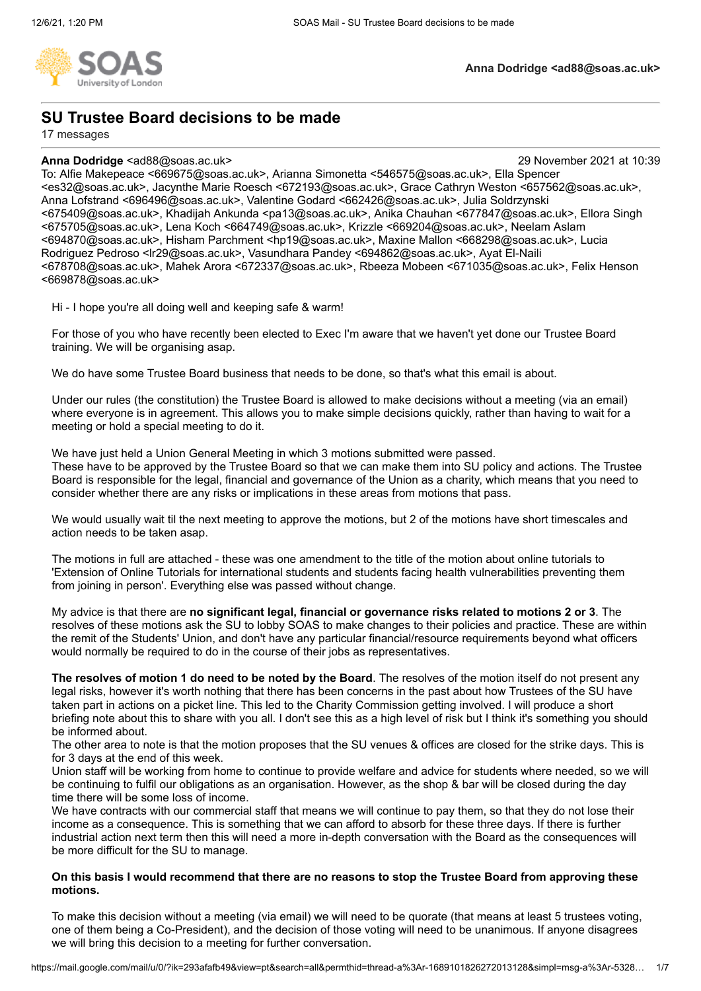

# **SU Trustee Board decisions to be made**

17 messages

### **Anna Dodridge** <ad88@soas.ac.uk> 29 November 2021 at 10:39

To: Alfie Makepeace <669675@soas.ac.uk>, Arianna Simonetta <546575@soas.ac.uk>, Ella Spencer <es32@soas.ac.uk>, Jacynthe Marie Roesch <672193@soas.ac.uk>, Grace Cathryn Weston <657562@soas.ac.uk>, Anna Lofstrand <696496@soas.ac.uk>, Valentine Godard <662426@soas.ac.uk>, Julia Soldrzynski <675409@soas.ac.uk>, Khadijah Ankunda <pa13@soas.ac.uk>, Anika Chauhan <677847@soas.ac.uk>, Ellora Singh <675705@soas.ac.uk>, Lena Koch <664749@soas.ac.uk>, Krizzle <669204@soas.ac.uk>, Neelam Aslam <694870@soas.ac.uk>, Hisham Parchment <hp19@soas.ac.uk>, Maxine Mallon <668298@soas.ac.uk>, Lucia Rodriguez Pedroso <lr29@soas.ac.uk>, Vasundhara Pandey <694862@soas.ac.uk>, Ayat El-Naili <678708@soas.ac.uk>, Mahek Arora <672337@soas.ac.uk>, Rbeeza Mobeen <671035@soas.ac.uk>, Felix Henson <669878@soas.ac.uk>

Hi - I hope you're all doing well and keeping safe & warm!

For those of you who have recently been elected to Exec I'm aware that we haven't yet done our Trustee Board training. We will be organising asap.

We do have some Trustee Board business that needs to be done, so that's what this email is about.

Under our rules (the constitution) the Trustee Board is allowed to make decisions without a meeting (via an email) where everyone is in agreement. This allows you to make simple decisions quickly, rather than having to wait for a meeting or hold a special meeting to do it.

We have just held a Union General Meeting in which 3 motions submitted were passed.

These have to be approved by the Trustee Board so that we can make them into SU policy and actions. The Trustee Board is responsible for the legal, financial and governance of the Union as a charity, which means that you need to consider whether there are any risks or implications in these areas from motions that pass.

We would usually wait til the next meeting to approve the motions, but 2 of the motions have short timescales and action needs to be taken asap.

The motions in full are attached - these was one amendment to the title of the motion about online tutorials to 'Extension of Online Tutorials for international students and students facing health vulnerabilities preventing them from joining in person'. Everything else was passed without change.

My advice is that there are **no significant legal, financial or governance risks related to motions 2 or 3**. The resolves of these motions ask the SU to lobby SOAS to make changes to their policies and practice. These are within the remit of the Students' Union, and don't have any particular financial/resource requirements beyond what officers would normally be required to do in the course of their jobs as representatives.

**The resolves of motion 1 do need to be noted by the Board**. The resolves of the motion itself do not present any legal risks, however it's worth nothing that there has been concerns in the past about how Trustees of the SU have taken part in actions on a picket line. This led to the Charity Commission getting involved. I will produce a short briefing note about this to share with you all. I don't see this as a high level of risk but I think it's something you should be informed about.

The other area to note is that the motion proposes that the SU venues & offices are closed for the strike days. This is for 3 days at the end of this week.

Union staff will be working from home to continue to provide welfare and advice for students where needed, so we will be continuing to fulfil our obligations as an organisation. However, as the shop & bar will be closed during the day time there will be some loss of income.

We have contracts with our commercial staff that means we will continue to pay them, so that they do not lose their income as a consequence. This is something that we can afford to absorb for these three days. If there is further industrial action next term then this will need a more in-depth conversation with the Board as the consequences will be more difficult for the SU to manage.

### **On this basis I would recommend that there are no reasons to stop the Trustee Board from approving these motions.**

To make this decision without a meeting (via email) we will need to be quorate (that means at least 5 trustees voting, one of them being a Co-President), and the decision of those voting will need to be unanimous. If anyone disagrees we will bring this decision to a meeting for further conversation.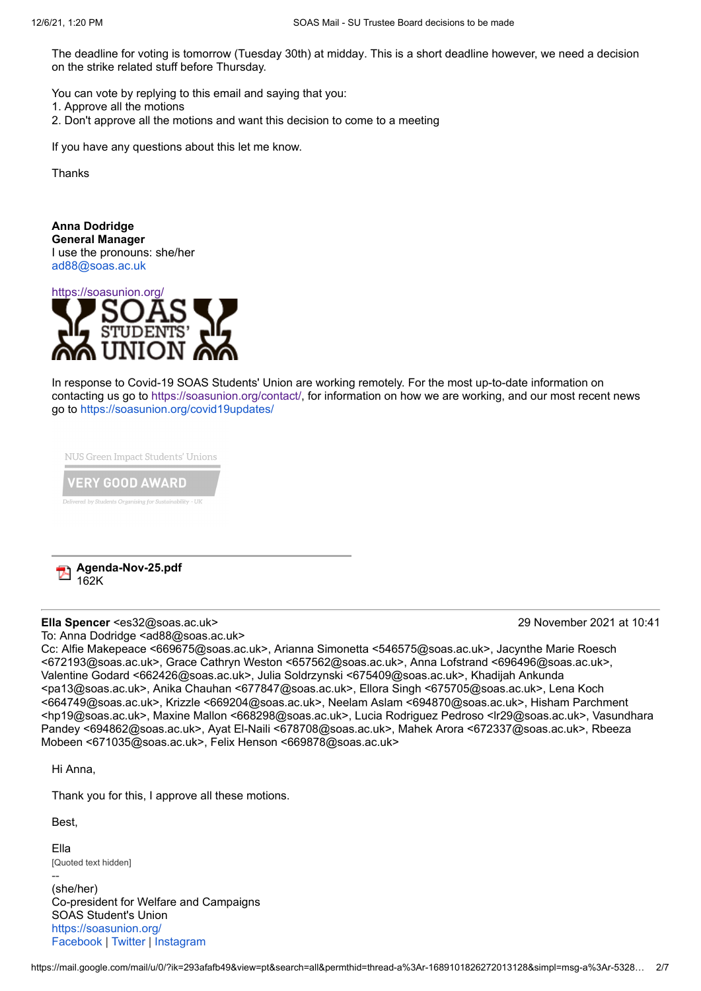The deadline for voting is tomorrow (Tuesday 30th) at midday. This is a short deadline however, we need a decision on the strike related stuff before Thursday.

You can vote by replying to this email and saying that you:

1. Approve all the motions

2. Don't approve all the motions and want this decision to come to a meeting

If you have any questions about this let me know.

Thanks

**Anna Dodridge General Manager** I use the pronouns: she/her [ad88@soas.ac.uk](mailto:pb14@soas.ac.uk)



In response to Covid-19 SOAS Students' Union are working remotely. For the most up-to-date information on contacting us go to <https://soasunion.org/contact/>, for information on how we are working, and our most recent news go to <https://soasunion.org/covid19updates/>

NUS Green Impact Students' Unions

**ERY GOOD AWARD** 



## **Ella Spencer** <es32@soas.ac.uk> 29 November 2021 at 10:41 To: Anna Dodridge <ad88@soas.ac.uk>

Cc: Alfie Makepeace <669675@soas.ac.uk>, Arianna Simonetta <546575@soas.ac.uk>, Jacynthe Marie Roesch <672193@soas.ac.uk>, Grace Cathryn Weston <657562@soas.ac.uk>, Anna Lofstrand <696496@soas.ac.uk>, Valentine Godard <662426@soas.ac.uk>, Julia Soldrzynski <675409@soas.ac.uk>, Khadijah Ankunda <pa13@soas.ac.uk>, Anika Chauhan <677847@soas.ac.uk>, Ellora Singh <675705@soas.ac.uk>, Lena Koch <664749@soas.ac.uk>, Krizzle <669204@soas.ac.uk>, Neelam Aslam <694870@soas.ac.uk>, Hisham Parchment <hp19@soas.ac.uk>, Maxine Mallon <668298@soas.ac.uk>, Lucia Rodriguez Pedroso <lr29@soas.ac.uk>, Vasundhara Pandey <694862@soas.ac.uk>, Ayat El-Naili <678708@soas.ac.uk>, Mahek Arora <672337@soas.ac.uk>, Rbeeza Mobeen <671035@soas.ac.uk>, Felix Henson <669878@soas.ac.uk>

Hi Anna,

Thank you for this, I approve all these motions.

Best,

Ella [Quoted text hidden]

-- (she/her) Co-president for Welfare and Campaigns SOAS Student's Union <https://soasunion.org/> [Facebook](https://en-gb.facebook.com/soas.su/) | [Twitter](https://twitter.com/soassu?lang=en) | [Instagram](https://www.instagram.com/soassu/?hl=en)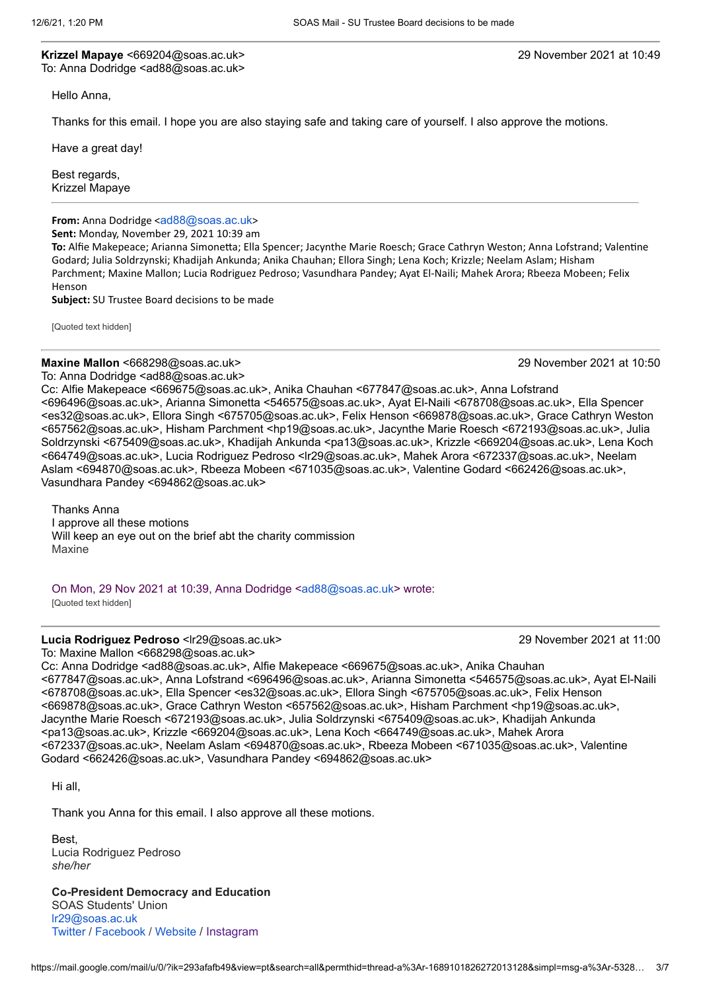**Krizzel Mapaye** <669204@soas.ac.uk> 29 November 2021 at 10:49 To: Anna Dodridge <ad88@soas.ac.uk>

Hello Anna,

Thanks for this email. I hope you are also staying safe and taking care of yourself. I also approve the motions.

Have a great day!

Best regards, Krizzel Mapaye

**From:** Anna Dodridge <[ad88@soas.ac.uk](mailto:ad88@soas.ac.uk)>

**Sent:** Monday, November 29, 2021 10:39 am

**To:** Alfie Makepeace; Arianna Simonetta; Ella Spencer; Jacynthe Marie Roesch; Grace Cathryn Weston; Anna Lofstrand; Valentine Godard; Julia Soldrzynski; Khadijah Ankunda; Anika Chauhan; Ellora Singh; Lena Koch; Krizzle; Neelam Aslam; Hisham Parchment; Maxine Mallon; Lucia Rodriguez Pedroso; Vasundhara Pandey; Ayat El-Naili; Mahek Arora; Rbeeza Mobeen; Felix Henson

**Subject:** SU Trustee Board decisions to be made

[Quoted text hidden]

**Maxine Mallon** <668298@soas.ac.uk> 29 November 2021 at 10:50

To: Anna Dodridge <ad88@soas.ac.uk>

Cc: Alfie Makepeace <669675@soas.ac.uk>, Anika Chauhan <677847@soas.ac.uk>, Anna Lofstrand <696496@soas.ac.uk>, Arianna Simonetta <546575@soas.ac.uk>, Ayat El-Naili <678708@soas.ac.uk>, Ella Spencer <es32@soas.ac.uk>, Ellora Singh <675705@soas.ac.uk>, Felix Henson <669878@soas.ac.uk>, Grace Cathryn Weston <657562@soas.ac.uk>, Hisham Parchment <hp19@soas.ac.uk>, Jacynthe Marie Roesch <672193@soas.ac.uk>, Julia Soldrzynski <675409@soas.ac.uk>, Khadijah Ankunda <pa13@soas.ac.uk>, Krizzle <669204@soas.ac.uk>, Lena Koch <664749@soas.ac.uk>, Lucia Rodriguez Pedroso <lr29@soas.ac.uk>, Mahek Arora <672337@soas.ac.uk>, Neelam Aslam <694870@soas.ac.uk>, Rbeeza Mobeen <671035@soas.ac.uk>, Valentine Godard <662426@soas.ac.uk>, Vasundhara Pandey <694862@soas.ac.uk>

Thanks Anna I approve all these motions Will keep an eye out on the brief abt the charity commission Maxine

On Mon, 29 Nov 2021 at 10:39, Anna Dodridge [<ad88@soas.ac.uk](mailto:ad88@soas.ac.uk)> wrote: [Quoted text hidden]

## **Lucia Rodriguez Pedroso** <lr29@soas.ac.uk> 29 November 2021 at 11:00

To: Maxine Mallon <668298@soas.ac.uk> Cc: Anna Dodridge <ad88@soas.ac.uk>, Alfie Makepeace <669675@soas.ac.uk>, Anika Chauhan <677847@soas.ac.uk>, Anna Lofstrand <696496@soas.ac.uk>, Arianna Simonetta <546575@soas.ac.uk>, Ayat El-Naili <678708@soas.ac.uk>, Ella Spencer <es32@soas.ac.uk>, Ellora Singh <675705@soas.ac.uk>, Felix Henson <669878@soas.ac.uk>, Grace Cathryn Weston <657562@soas.ac.uk>, Hisham Parchment <hp19@soas.ac.uk>, Jacynthe Marie Roesch <672193@soas.ac.uk>, Julia Soldrzynski <675409@soas.ac.uk>, Khadijah Ankunda <pa13@soas.ac.uk>, Krizzle <669204@soas.ac.uk>, Lena Koch <664749@soas.ac.uk>, Mahek Arora <672337@soas.ac.uk>, Neelam Aslam <694870@soas.ac.uk>, Rbeeza Mobeen <671035@soas.ac.uk>, Valentine Godard <662426@soas.ac.uk>, Vasundhara Pandey <694862@soas.ac.uk>

Hi all,

Thank you Anna for this email. I also approve all these motions.

Best, Lucia Rodriguez Pedroso *she/her*

**Co-President Democracy and Education** SOAS Students' Union [lr29@soas.ac.uk](mailto:lr29@soas.ac.uk) [Twitter](https://twitter.com/soassu) / [Facebook](https://www.facebook.com/soas.su/) / [Website](https://soasunion.org/) / [Instagram](https://www.instagram.com/soassu/)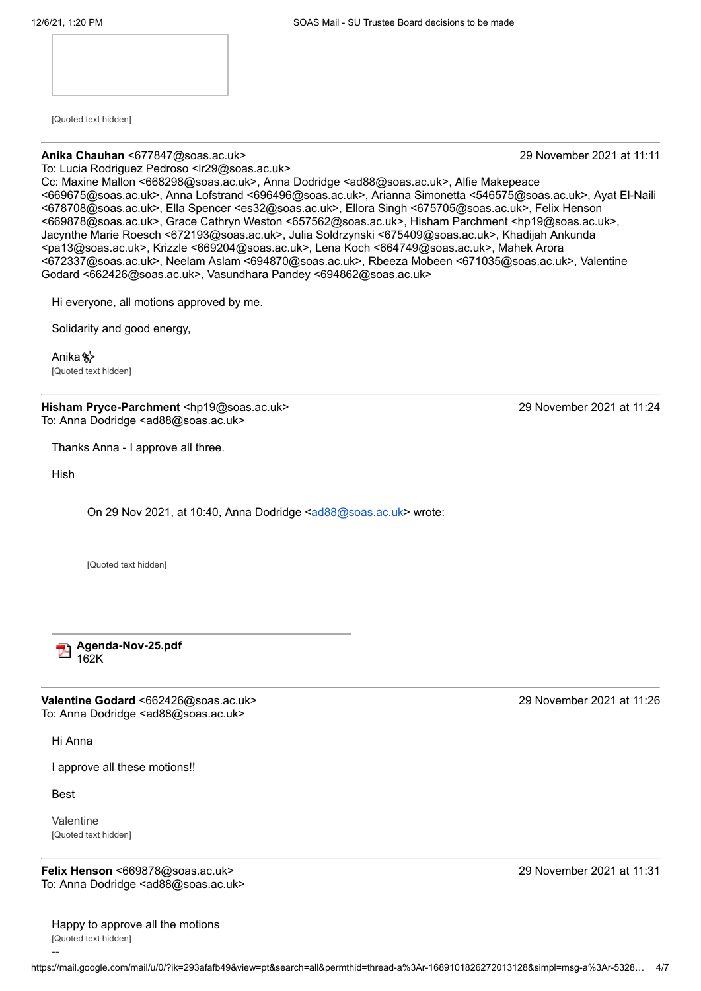[Quoted text hidden]

#### **Anika Chauhan** <677847@soas.ac.uk> 29 November 2021 at 11:11

To: Lucia Rodriguez Pedroso <lr29@soas.ac.uk>

Cc: Maxine Mallon <668298@soas.ac.uk>, Anna Dodridge <ad88@soas.ac.uk>, Alfie Makepeace <669675@soas.ac.uk>, Anna Lofstrand <696496@soas.ac.uk>, Arianna Simonetta <546575@soas.ac.uk>, Ayat El-Naili <678708@soas.ac.uk>, Ella Spencer <es32@soas.ac.uk>, Ellora Singh <675705@soas.ac.uk>, Felix Henson <669878@soas.ac.uk>, Grace Cathryn Weston <657562@soas.ac.uk>, Hisham Parchment <hp19@soas.ac.uk>, Jacynthe Marie Roesch <672193@soas.ac.uk>, Julia Soldrzynski <675409@soas.ac.uk>, Khadijah Ankunda <pa13@soas.ac.uk>, Krizzle <669204@soas.ac.uk>, Lena Koch <664749@soas.ac.uk>, Mahek Arora <672337@soas.ac.uk>, Neelam Aslam <694870@soas.ac.uk>, Rbeeza Mobeen <671035@soas.ac.uk>, Valentine Godard <662426@soas.ac.uk>, Vasundhara Pandey <694862@soas.ac.uk>

Hi everyone, all motions approved by me.

Solidarity and good energy,

Anika✨ [Quoted text hidden]

**Hisham Pryce-Parchment** <hp19@soas.ac.uk> 29 November 2021 at 11:24 To: Anna Dodridge <ad88@soas.ac.uk>

Thanks Anna - I approve all three.

Hish

On 29 Nov 2021, at 10:40, Anna Dodridge <[ad88@soas.ac.uk>](mailto:ad88@soas.ac.uk) wrote:

[Quoted text hidden]

**Agenda-Nov-25.pdf 162K** 

**Valentine Godard** <662426@soas.ac.uk> 29 November 2021 at 11:26 To: Anna Dodridge <ad88@soas.ac.uk>

Hi Anna

I approve all these motions!!

Best

--

Valentine [Quoted text hidden]

**Felix Henson** <669878@soas.ac.uk> 29 November 2021 at 11:31 To: Anna Dodridge <ad88@soas.ac.uk>

Happy to approve all the motions [Quoted text hidden]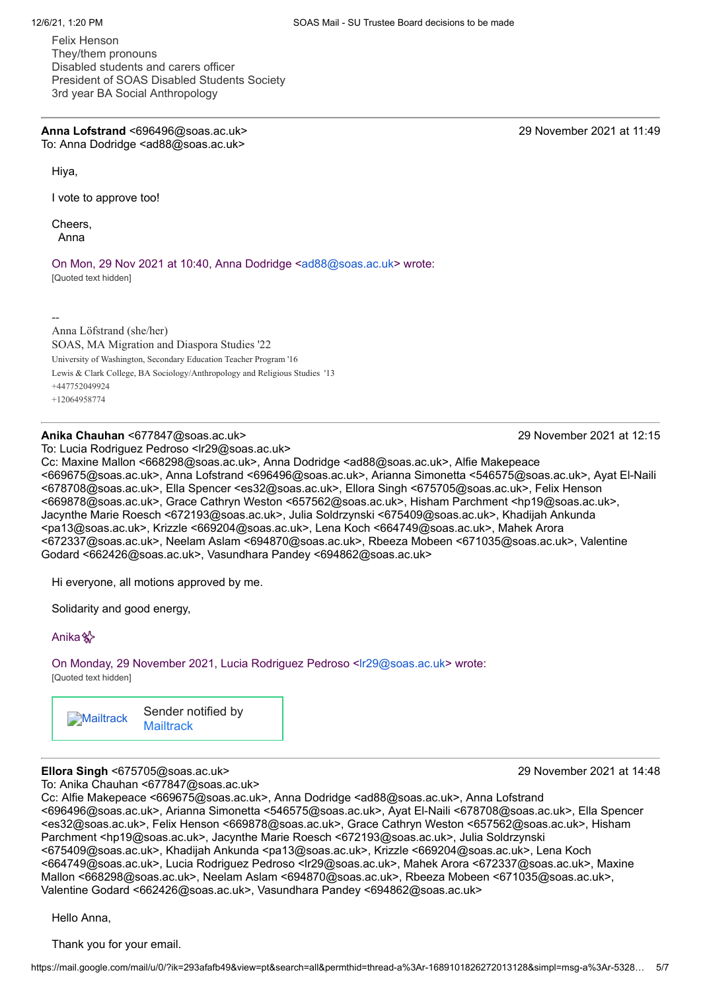Felix Henson They/them pronouns Disabled students and carers officer President of SOAS Disabled Students Society 3rd year BA Social Anthropology

**Anna Lofstrand** <696496@soas.ac.uk> 29 November 2021 at 11:49 To: Anna Dodridge <ad88@soas.ac.uk>

Hiya,

I vote to approve too!

Cheers, Anna

On Mon, 29 Nov 2021 at 10:40, Anna Dodridge [<ad88@soas.ac.uk](mailto:ad88@soas.ac.uk)> wrote:

[Quoted text hidden]

--

Anna Löfstrand (she/her) SOAS, MA Migration and Diaspora Studies '22 University of Washington, Secondary Education Teacher Program '16 Lewis & Clark College, BA Sociology/Anthropology and Religious Studies '13 +447752049924 +12064958774

### **Anika Chauhan** <677847@soas.ac.uk> 29 November 2021 at 12:15

To: Lucia Rodriguez Pedroso <lr29@soas.ac.uk>

Cc: Maxine Mallon <668298@soas.ac.uk>, Anna Dodridge <ad88@soas.ac.uk>, Alfie Makepeace <669675@soas.ac.uk>, Anna Lofstrand <696496@soas.ac.uk>, Arianna Simonetta <546575@soas.ac.uk>, Ayat El-Naili <678708@soas.ac.uk>, Ella Spencer <es32@soas.ac.uk>, Ellora Singh <675705@soas.ac.uk>, Felix Henson <669878@soas.ac.uk>, Grace Cathryn Weston <657562@soas.ac.uk>, Hisham Parchment <hp19@soas.ac.uk>, Jacynthe Marie Roesch <672193@soas.ac.uk>, Julia Soldrzynski <675409@soas.ac.uk>, Khadijah Ankunda <pa13@soas.ac.uk>, Krizzle <669204@soas.ac.uk>, Lena Koch <664749@soas.ac.uk>, Mahek Arora <672337@soas.ac.uk>, Neelam Aslam <694870@soas.ac.uk>, Rbeeza Mobeen <671035@soas.ac.uk>, Valentine Godard <662426@soas.ac.uk>, Vasundhara Pandey <694862@soas.ac.uk>

Hi everyone, all motions approved by me.

Solidarity and good energy,

Anika<sup>3</sup>

On Monday, 29 November 2021, Lucia Rodriguez Pedroso [<lr29@soas.ac.uk](mailto:lr29@soas.ac.uk)> wrote: [Quoted text hidden]

**[Mailtrack](https://mailtrack.io/?utm_source=gmail&utm_medium=signature&utm_campaign=signaturevirality11&)** Sender notified by **[Mailtrack](https://mailtrack.io/?utm_source=gmail&utm_medium=signature&utm_campaign=signaturevirality11&)** 

## **Ellora Singh** <675705@soas.ac.uk> 29 November 2021 at 14:48

To: Anika Chauhan <677847@soas.ac.uk>

Cc: Alfie Makepeace <669675@soas.ac.uk>, Anna Dodridge <ad88@soas.ac.uk>, Anna Lofstrand <696496@soas.ac.uk>, Arianna Simonetta <546575@soas.ac.uk>, Ayat El-Naili <678708@soas.ac.uk>, Ella Spencer <es32@soas.ac.uk>, Felix Henson <669878@soas.ac.uk>, Grace Cathryn Weston <657562@soas.ac.uk>, Hisham Parchment <hp19@soas.ac.uk>, Jacynthe Marie Roesch <672193@soas.ac.uk>, Julia Soldrzynski <675409@soas.ac.uk>, Khadijah Ankunda <pa13@soas.ac.uk>, Krizzle <669204@soas.ac.uk>, Lena Koch <664749@soas.ac.uk>, Lucia Rodriguez Pedroso <lr29@soas.ac.uk>, Mahek Arora <672337@soas.ac.uk>, Maxine Mallon <668298@soas.ac.uk>, Neelam Aslam <694870@soas.ac.uk>, Rbeeza Mobeen <671035@soas.ac.uk>, Valentine Godard <662426@soas.ac.uk>, Vasundhara Pandey <694862@soas.ac.uk>

Hello Anna,

Thank you for your email.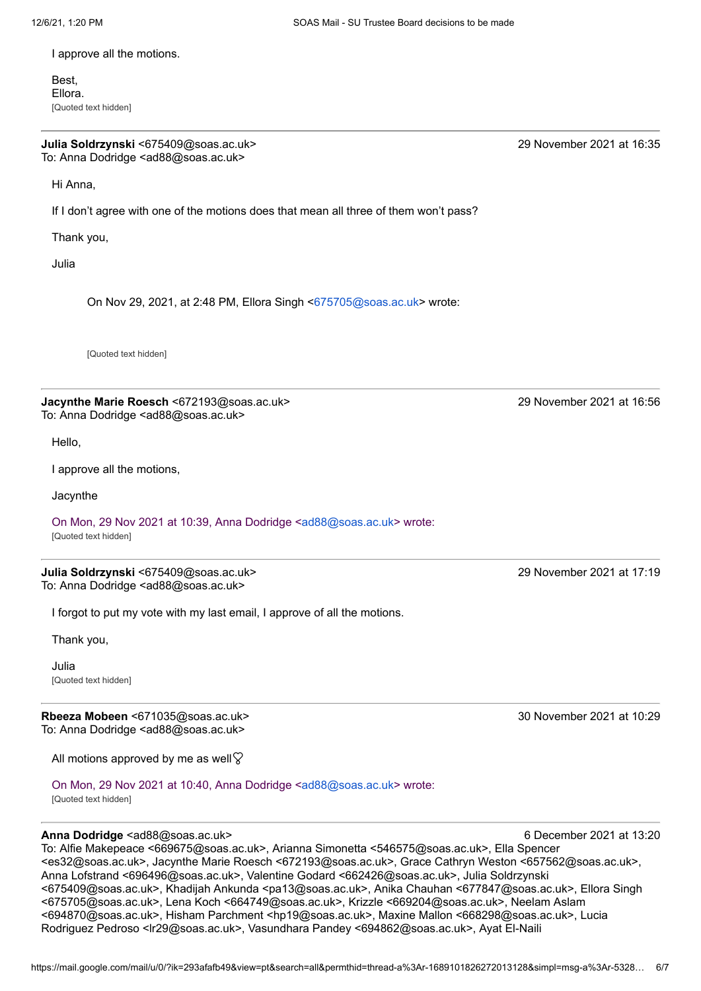I approve all the motions.

Best, Ellora. [Quoted text hidden]

**Julia Soldrzynski** <675409@soas.ac.uk> 29 November 2021 at 16:35 To: Anna Dodridge <ad88@soas.ac.uk>

Hi Anna,

If I don't agree with one of the motions does that mean all three of them won't pass?

Thank you,

Julia

On Nov 29, 2021, at 2:48 PM, Ellora Singh <[675705@soas.ac.uk>](mailto:675705@soas.ac.uk) wrote:

[Quoted text hidden]

**Jacynthe Marie Roesch** <672193@soas.ac.uk> 29 November 2021 at 16:56 To: Anna Dodridge <ad88@soas.ac.uk>

Hello,

I approve all the motions,

**Jacynthe** 

On Mon, 29 Nov 2021 at 10:39, Anna Dodridge [<ad88@soas.ac.uk](mailto:ad88@soas.ac.uk)> wrote: [Quoted text hidden]

**Julia Soldrzynski** <675409@soas.ac.uk> 29 November 2021 at 17:19 To: Anna Dodridge <ad88@soas.ac.uk>

I forgot to put my vote with my last email, I approve of all the motions.

Thank you,

Julia [Quoted text hidden]

**Rbeeza Mobeen** <671035@soas.ac.uk> 30 November 2021 at 10:29 To: Anna Dodridge <ad88@soas.ac.uk>

All motions approved by me as well $\heartsuit$ 

On Mon, 29 Nov 2021 at 10:40, Anna Dodridge [<ad88@soas.ac.uk](mailto:ad88@soas.ac.uk)> wrote: [Quoted text hidden]

### **Anna Dodridge** <ad88@soas.ac.uk> 6 December 2021 at 13:20

To: Alfie Makepeace <669675@soas.ac.uk>, Arianna Simonetta <546575@soas.ac.uk>, Ella Spencer <es32@soas.ac.uk>, Jacynthe Marie Roesch <672193@soas.ac.uk>, Grace Cathryn Weston <657562@soas.ac.uk>, Anna Lofstrand <696496@soas.ac.uk>, Valentine Godard <662426@soas.ac.uk>, Julia Soldrzynski <675409@soas.ac.uk>, Khadijah Ankunda <pa13@soas.ac.uk>, Anika Chauhan <677847@soas.ac.uk>, Ellora Singh <675705@soas.ac.uk>, Lena Koch <664749@soas.ac.uk>, Krizzle <669204@soas.ac.uk>, Neelam Aslam <694870@soas.ac.uk>, Hisham Parchment <hp19@soas.ac.uk>, Maxine Mallon <668298@soas.ac.uk>, Lucia Rodriguez Pedroso <lr29@soas.ac.uk>, Vasundhara Pandey <694862@soas.ac.uk>, Ayat El-Naili